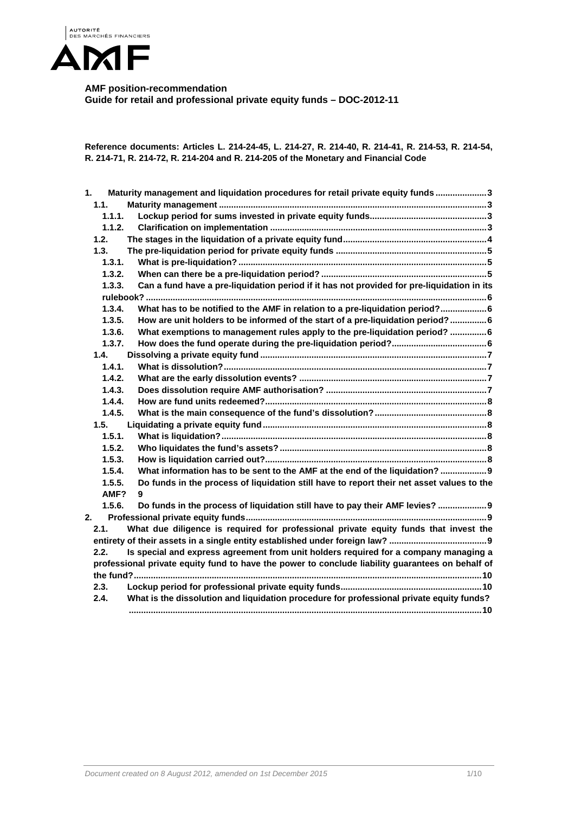

**AMF position-recommendation Guide for retail and professional private equity funds – DOC-2012-11** 

**Reference documents: Articles L. 214-24-45, L. 214-27, R. 214-40, R. 214-41, R. 214-53, R. 214-54, R. 214-71, R. 214-72, R. 214-204 and R. 214-205 of the Monetary and Financial Code** 

| 1.     | Maturity management and liquidation procedures for retail private equity funds3                  |
|--------|--------------------------------------------------------------------------------------------------|
| 1.1.   |                                                                                                  |
| 1.1.1. |                                                                                                  |
| 1.1.2. |                                                                                                  |
| 1.2.   |                                                                                                  |
| 1.3.   |                                                                                                  |
| 1.3.1. |                                                                                                  |
| 1.3.2. |                                                                                                  |
| 1.3.3. | Can a fund have a pre-liquidation period if it has not provided for pre-liquidation in its       |
|        |                                                                                                  |
| 1.3.4. | What has to be notified to the AMF in relation to a pre-liquidation period? 6                    |
| 1.3.5. | How are unit holders to be informed of the start of a pre-liquidation period?  6                 |
| 1.3.6. | What exemptions to management rules apply to the pre-liquidation period?  6                      |
| 1.3.7. |                                                                                                  |
| 1.4.   |                                                                                                  |
| 1.4.1. |                                                                                                  |
| 1.4.2. |                                                                                                  |
| 1.4.3. |                                                                                                  |
| 1.4.4. |                                                                                                  |
| 1.4.5. |                                                                                                  |
| 1.5.   |                                                                                                  |
| 1.5.1. |                                                                                                  |
| 1.5.2. |                                                                                                  |
| 1.5.3. |                                                                                                  |
| 1.5.4. | What information has to be sent to the AMF at the end of the liquidation? 9                      |
| 1.5.5. | Do funds in the process of liquidation still have to report their net asset values to the        |
| AMF?   | 9                                                                                                |
| 1.5.6. | Do funds in the process of liquidation still have to pay their AMF levies?  9                    |
| 2.     |                                                                                                  |
| 2.1.   | What due diligence is required for professional private equity funds that invest the             |
|        |                                                                                                  |
| 2.2.   | Is special and express agreement from unit holders required for a company managing a             |
|        | professional private equity fund to have the power to conclude liability guarantees on behalf of |
|        |                                                                                                  |
| 2.3.   |                                                                                                  |
| 2.4.   | What is the dissolution and liquidation procedure for professional private equity funds?         |
|        |                                                                                                  |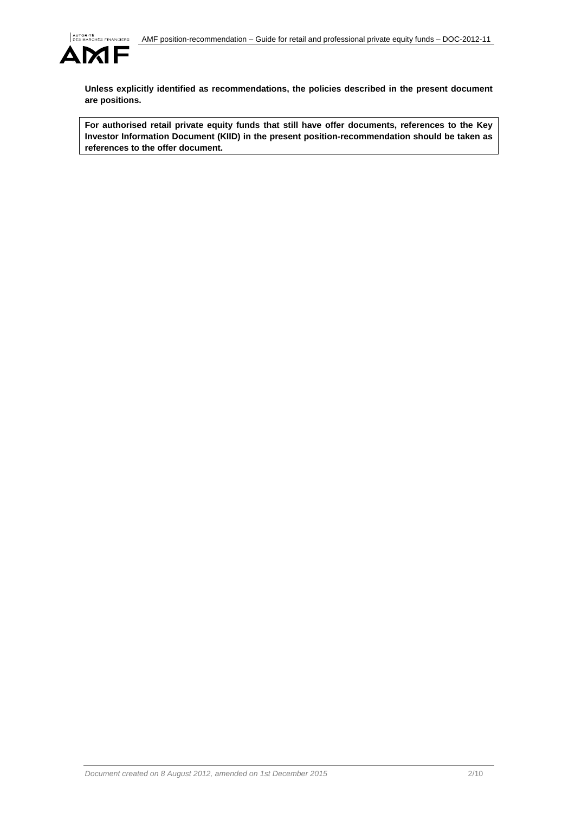

**Unless explicitly identified as recommendations, the policies described in the present document are positions.** 

**For authorised retail private equity funds that still have offer documents, references to the Key Investor Information Document (KIID) in the present position-recommendation should be taken as references to the offer document.**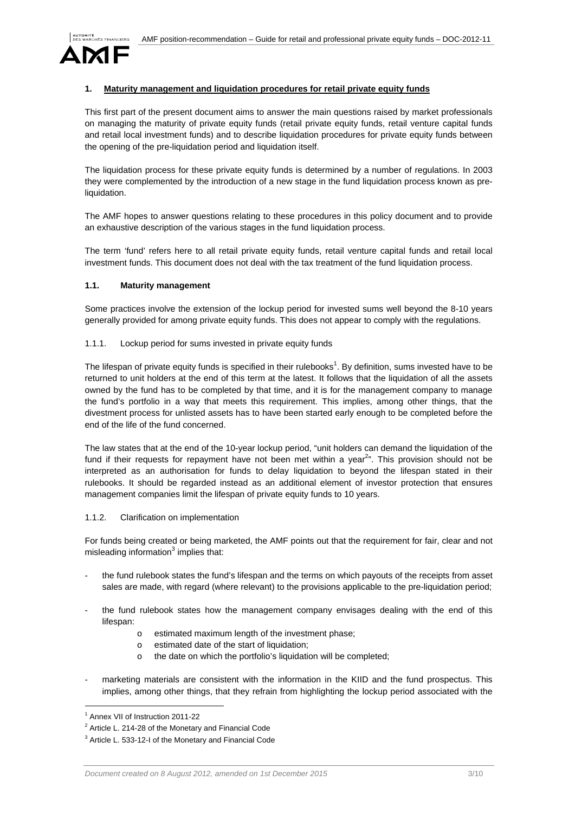

## **Maturity management and liquidation procedures for retail private equity funds**

This first part of the present document aims to answer the main questions raised by market professionals on managing the maturity of private equity funds (retail private equity funds, retail venture capital funds and retail local investment funds) and to describe liquidation procedures for private equity funds between the opening of the pre-liquidation period and liquidation itself.

The liquidation process for these private equity funds is determined by a number of regulations. In 2003 they were complemented by the introduction of a new stage in the fund liquidation process known as preliquidation.

The AMF hopes to answer questions relating to these procedures in this policy document and to provide an exhaustive description of the various stages in the fund liquidation process.

The term 'fund' refers here to all retail private equity funds, retail venture capital funds and retail local investment funds. This document does not deal with the tax treatment of the fund liquidation process.

#### **1.1. Maturity management**

Some practices involve the extension of the lockup period for invested sums well beyond the 8-10 years generally provided for among private equity funds. This does not appear to comply with the regulations.

## 1.1.1. Lockup period for sums invested in private equity funds

The lifespan of private equity funds is specified in their rulebooks<sup>1</sup>. By definition, sums invested have to be returned to unit holders at the end of this term at the latest. It follows that the liquidation of all the assets owned by the fund has to be completed by that time, and it is for the management company to manage the fund's portfolio in a way that meets this requirement. This implies, among other things, that the divestment process for unlisted assets has to have been started early enough to be completed before the end of the life of the fund concerned.

The law states that at the end of the 10-year lockup period, "unit holders can demand the liquidation of the fund if their requests for repayment have not been met within a year $^{2n}$ . This provision should not be interpreted as an authorisation for funds to delay liquidation to beyond the lifespan stated in their rulebooks. It should be regarded instead as an additional element of investor protection that ensures management companies limit the lifespan of private equity funds to 10 years.

# 1.1.2. Clarification on implementation

For funds being created or being marketed, the AMF points out that the requirement for fair, clear and not misleading information $3$  implies that:

- the fund rulebook states the fund's lifespan and the terms on which payouts of the receipts from asset sales are made, with regard (where relevant) to the provisions applicable to the pre-liquidation period;
- the fund rulebook states how the management company envisages dealing with the end of this lifespan:
	- o estimated maximum length of the investment phase;
	- o estimated date of the start of liquidation;
	- o the date on which the portfolio's liquidation will be completed;
- marketing materials are consistent with the information in the KIID and the fund prospectus. This implies, among other things, that they refrain from highlighting the lockup period associated with the

l

<sup>&</sup>lt;sup>1</sup> Annex VII of Instruction 2011-22

 $2$  Article L. 214-28 of the Monetary and Financial Code

<sup>&</sup>lt;sup>3</sup> Article L. 533-12-I of the Monetary and Financial Code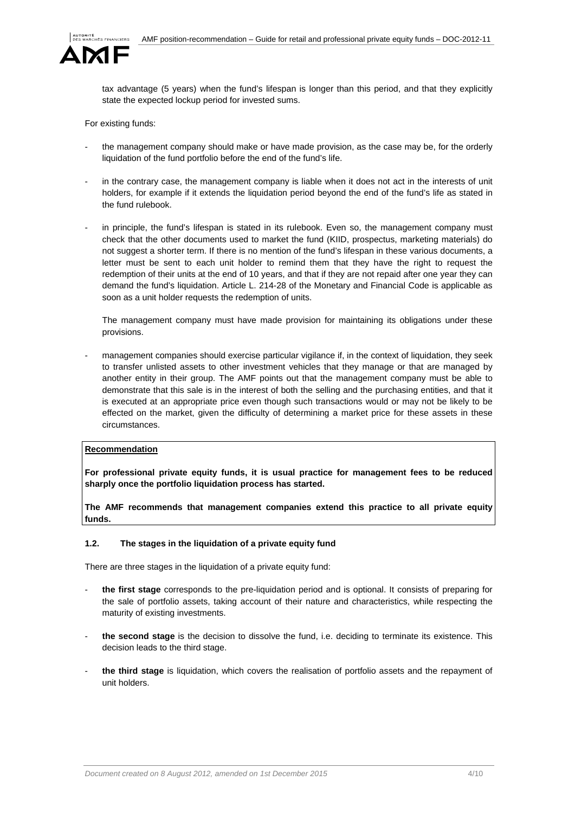

tax advantage (5 years) when the fund's lifespan is longer than this period, and that they explicitly state the expected lockup period for invested sums.

For existing funds:

- the management company should make or have made provision, as the case may be, for the orderly liquidation of the fund portfolio before the end of the fund's life.
- in the contrary case, the management company is liable when it does not act in the interests of unit holders, for example if it extends the liquidation period beyond the end of the fund's life as stated in the fund rulebook.
- in principle, the fund's lifespan is stated in its rulebook. Even so, the management company must check that the other documents used to market the fund (KIID, prospectus, marketing materials) do not suggest a shorter term. If there is no mention of the fund's lifespan in these various documents, a letter must be sent to each unit holder to remind them that they have the right to request the redemption of their units at the end of 10 years, and that if they are not repaid after one year they can demand the fund's liquidation. Article L. 214-28 of the Monetary and Financial Code is applicable as soon as a unit holder requests the redemption of units.

The management company must have made provision for maintaining its obligations under these provisions.

management companies should exercise particular vigilance if, in the context of liquidation, they seek to transfer unlisted assets to other investment vehicles that they manage or that are managed by another entity in their group. The AMF points out that the management company must be able to demonstrate that this sale is in the interest of both the selling and the purchasing entities, and that it is executed at an appropriate price even though such transactions would or may not be likely to be effected on the market, given the difficulty of determining a market price for these assets in these circumstances.

#### **Recommendation**

**For professional private equity funds, it is usual practice for management fees to be reduced sharply once the portfolio liquidation process has started.** 

**The AMF recommends that management companies extend this practice to all private equity funds.** 

#### **1.2. The stages in the liquidation of a private equity fund**

There are three stages in the liquidation of a private equity fund:

- **the first stage** corresponds to the pre-liquidation period and is optional. It consists of preparing for the sale of portfolio assets, taking account of their nature and characteristics, while respecting the maturity of existing investments.
- **the second stage** is the decision to dissolve the fund, i.e. deciding to terminate its existence. This decision leads to the third stage.
- the third stage is liquidation, which covers the realisation of portfolio assets and the repayment of unit holders.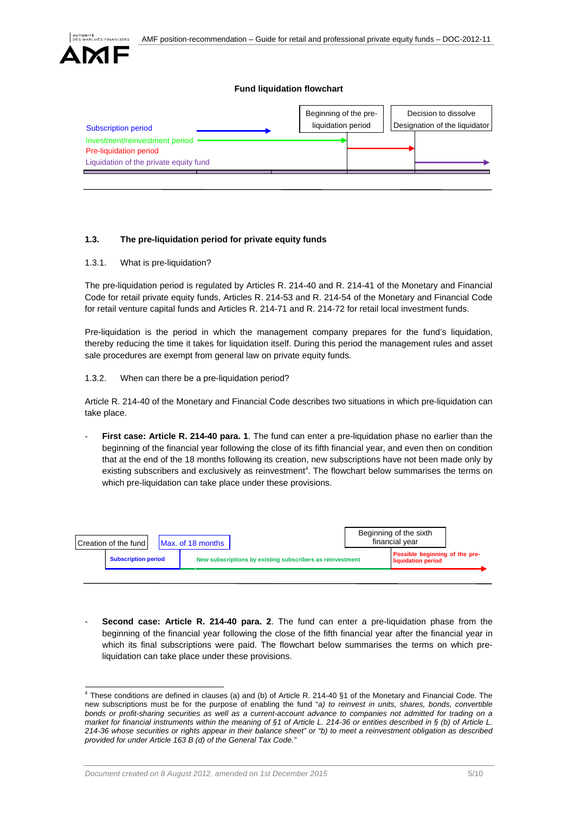

 $\overline{a}$ 

## **Fund liquidation flowchart**



# **1.3. The pre-liquidation period for private equity funds**

1.3.1. What is pre-liquidation?

The pre-liquidation period is regulated by Articles R. 214-40 and R. 214-41 of the Monetary and Financial Code for retail private equity funds, Articles R. 214-53 and R. 214-54 of the Monetary and Financial Code for retail venture capital funds and Articles R. 214-71 and R. 214-72 for retail local investment funds.

Pre-liquidation is the period in which the management company prepares for the fund's liquidation, thereby reducing the time it takes for liquidation itself. During this period the management rules and asset sale procedures are exempt from general law on private equity funds.

#### 1.3.2. When can there be a pre-liquidation period?

Article R. 214-40 of the Monetary and Financial Code describes two situations in which pre-liquidation can take place.

**First case: Article R. 214-40 para. 1.** The fund can enter a pre-liquidation phase no earlier than the beginning of the financial year following the close of its fifth financial year, and even then on condition that at the end of the 18 months following its creation, new subscriptions have not been made only by existing subscribers and exclusively as reinvestment<sup>4</sup>. The flowchart below summarises the terms on which pre-liquidation can take place under these provisions.

| Possible beginning of the pre-<br>New subscriptions by existing subscribers as reinvestment<br><b>Subscription period</b><br>liquidation period | Creation of the fund l |  | Max. of 18 months |  |  | Beginning of the sixth<br>financial vear |  |  |
|-------------------------------------------------------------------------------------------------------------------------------------------------|------------------------|--|-------------------|--|--|------------------------------------------|--|--|
|                                                                                                                                                 |                        |  |                   |  |  |                                          |  |  |

- **Second case: Article R. 214-40 para. 2**. The fund can enter a pre-liquidation phase from the beginning of the financial year following the close of the fifth financial year after the financial year in which its final subscriptions were paid. The flowchart below summarises the terms on which preliquidation can take place under these provisions.

 $^4$  These conditions are defined in clauses (a) and (b) of Article R. 214-40 §1 of the Monetary and Financial Code. The new subscriptions must be for the purpose of enabling the fund "*a) to reinvest in units, shares, bonds, convertible bonds or profit-sharing securities as well as a current-account advance to companies not admitted for trading on a market for financial instruments within the meaning of §1 of Article L. 214-36 or entities described in § (b) of Article L. 214-36 whose securities or rights appear in their balance sheet" or "b) to meet a reinvestment obligation as described provided for under Article 163 B (d) of the General Tax Code."*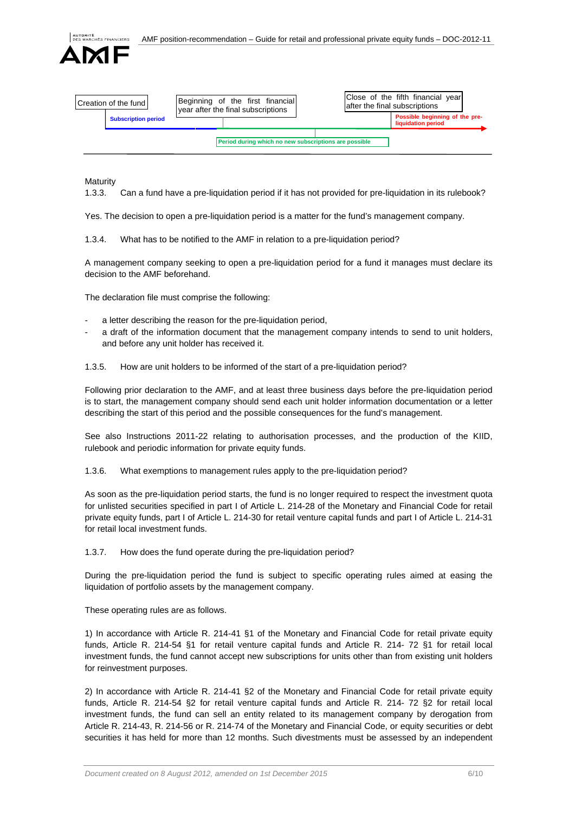

| l Creation of the fund l                              |  |  | Beginning of the first financial<br>year after the final subscriptions |  | Close of the fifth financial year<br>lafter the final subscriptions |                                                      |  |
|-------------------------------------------------------|--|--|------------------------------------------------------------------------|--|---------------------------------------------------------------------|------------------------------------------------------|--|
| <b>Subscription period</b>                            |  |  |                                                                        |  |                                                                     | Possible beginning of the pre-<br>liquidation period |  |
| Period during which no new subscriptions are possible |  |  |                                                                        |  |                                                                     |                                                      |  |

Maturity

1.3.3. Can a fund have a pre-liquidation period if it has not provided for pre-liquidation in its rulebook?

Yes. The decision to open a pre-liquidation period is a matter for the fund's management company.

1.3.4. What has to be notified to the AMF in relation to a pre-liquidation period?

A management company seeking to open a pre-liquidation period for a fund it manages must declare its decision to the AMF beforehand.

The declaration file must comprise the following:

- a letter describing the reason for the pre-liquidation period,
- a draft of the information document that the management company intends to send to unit holders, and before any unit holder has received it.

1.3.5. How are unit holders to be informed of the start of a pre-liquidation period?

Following prior declaration to the AMF, and at least three business days before the pre-liquidation period is to start, the management company should send each unit holder information documentation or a letter describing the start of this period and the possible consequences for the fund's management.

See also Instructions 2011-22 relating to authorisation processes, and the production of the KIID, rulebook and periodic information for private equity funds.

1.3.6. What exemptions to management rules apply to the pre-liquidation period?

As soon as the pre-liquidation period starts, the fund is no longer required to respect the investment quota for unlisted securities specified in part I of Article L. 214-28 of the Monetary and Financial Code for retail private equity funds, part I of Article L. 214-30 for retail venture capital funds and part I of Article L. 214-31 for retail local investment funds.

1.3.7. How does the fund operate during the pre-liquidation period?

During the pre-liquidation period the fund is subject to specific operating rules aimed at easing the liquidation of portfolio assets by the management company.

These operating rules are as follows.

1) In accordance with Article R. 214-41 §1 of the Monetary and Financial Code for retail private equity funds, Article R. 214-54 §1 for retail venture capital funds and Article R. 214- 72 §1 for retail local investment funds, the fund cannot accept new subscriptions for units other than from existing unit holders for reinvestment purposes.

2) In accordance with Article R. 214-41 §2 of the Monetary and Financial Code for retail private equity funds, Article R. 214-54 §2 for retail venture capital funds and Article R. 214- 72 §2 for retail local investment funds, the fund can sell an entity related to its management company by derogation from Article R. 214-43, R. 214-56 or R. 214-74 of the Monetary and Financial Code, or equity securities or debt securities it has held for more than 12 months. Such divestments must be assessed by an independent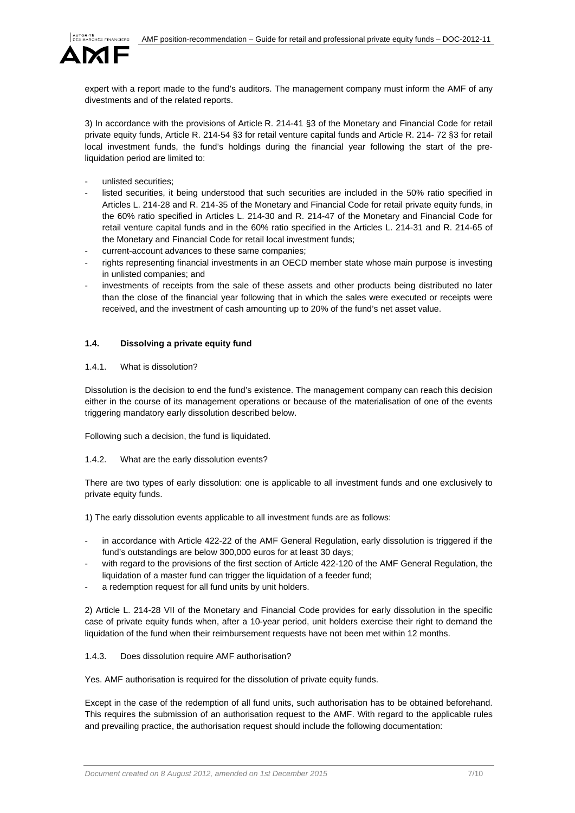

expert with a report made to the fund's auditors. The management company must inform the AMF of any divestments and of the related reports.

3) In accordance with the provisions of Article R. 214-41 §3 of the Monetary and Financial Code for retail private equity funds, Article R. 214-54 §3 for retail venture capital funds and Article R. 214- 72 §3 for retail local investment funds, the fund's holdings during the financial year following the start of the preliquidation period are limited to:

- unlisted securities;
- listed securities, it being understood that such securities are included in the 50% ratio specified in Articles L. 214-28 and R. 214-35 of the Monetary and Financial Code for retail private equity funds, in the 60% ratio specified in Articles L. 214-30 and R. 214-47 of the Monetary and Financial Code for retail venture capital funds and in the 60% ratio specified in the Articles L. 214-31 and R. 214-65 of the Monetary and Financial Code for retail local investment funds;
- current-account advances to these same companies;
- rights representing financial investments in an OECD member state whose main purpose is investing in unlisted companies; and
- investments of receipts from the sale of these assets and other products being distributed no later than the close of the financial year following that in which the sales were executed or receipts were received, and the investment of cash amounting up to 20% of the fund's net asset value.

## **1.4. Dissolving a private equity fund**

#### 1.4.1. What is dissolution?

Dissolution is the decision to end the fund's existence. The management company can reach this decision either in the course of its management operations or because of the materialisation of one of the events triggering mandatory early dissolution described below.

Following such a decision, the fund is liquidated.

#### 1.4.2. What are the early dissolution events?

There are two types of early dissolution: one is applicable to all investment funds and one exclusively to private equity funds.

1) The early dissolution events applicable to all investment funds are as follows:

- in accordance with Article 422-22 of the AMF General Regulation, early dissolution is triggered if the fund's outstandings are below 300,000 euros for at least 30 days;
- with regard to the provisions of the first section of Article 422-120 of the AMF General Regulation, the liquidation of a master fund can trigger the liquidation of a feeder fund;
- a redemption request for all fund units by unit holders.

2) Article L. 214-28 VII of the Monetary and Financial Code provides for early dissolution in the specific case of private equity funds when, after a 10-year period, unit holders exercise their right to demand the liquidation of the fund when their reimbursement requests have not been met within 12 months.

## 1.4.3. Does dissolution require AMF authorisation?

Yes. AMF authorisation is required for the dissolution of private equity funds.

Except in the case of the redemption of all fund units, such authorisation has to be obtained beforehand. This requires the submission of an authorisation request to the AMF. With regard to the applicable rules and prevailing practice, the authorisation request should include the following documentation: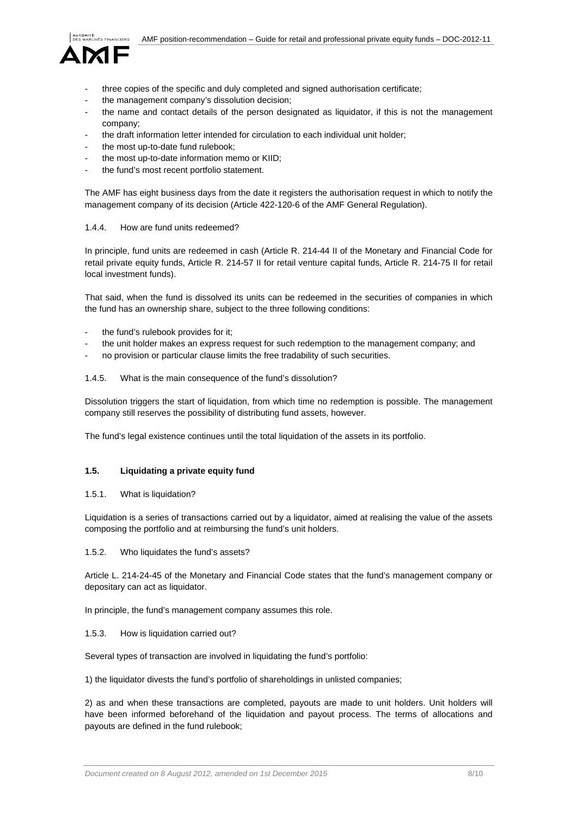

- three copies of the specific and duly completed and signed authorisation certificate;
- the management company's dissolution decision;
- the name and contact details of the person designated as liquidator, if this is not the management company;
- the draft information letter intended for circulation to each individual unit holder;
- the most up-to-date fund rulebook:
- the most up-to-date information memo or KIID;
- the fund's most recent portfolio statement.

The AMF has eight business days from the date it registers the authorisation request in which to notify the management company of its decision (Article 422-120-6 of the AMF General Regulation).

#### 1.4.4. How are fund units redeemed?

In principle, fund units are redeemed in cash (Article R. 214-44 II of the Monetary and Financial Code for retail private equity funds, Article R. 214-57 II for retail venture capital funds, Article R. 214-75 II for retail local investment funds).

That said, when the fund is dissolved its units can be redeemed in the securities of companies in which the fund has an ownership share, subject to the three following conditions:

- the fund's rulebook provides for it;
- the unit holder makes an express request for such redemption to the management company; and
- no provision or particular clause limits the free tradability of such securities.

#### 1.4.5. What is the main consequence of the fund's dissolution?

Dissolution triggers the start of liquidation, from which time no redemption is possible. The management company still reserves the possibility of distributing fund assets, however.

The fund's legal existence continues until the total liquidation of the assets in its portfolio.

## **1.5. Liquidating a private equity fund**

## 1.5.1. What is liquidation?

Liquidation is a series of transactions carried out by a liquidator, aimed at realising the value of the assets composing the portfolio and at reimbursing the fund's unit holders.

#### 1.5.2. Who liquidates the fund's assets?

Article L. 214-24-45 of the Monetary and Financial Code states that the fund's management company or depositary can act as liquidator.

In principle, the fund's management company assumes this role.

#### 1.5.3. How is liquidation carried out?

Several types of transaction are involved in liquidating the fund's portfolio:

1) the liquidator divests the fund's portfolio of shareholdings in unlisted companies;

2) as and when these transactions are completed, payouts are made to unit holders. Unit holders will have been informed beforehand of the liquidation and payout process. The terms of allocations and payouts are defined in the fund rulebook;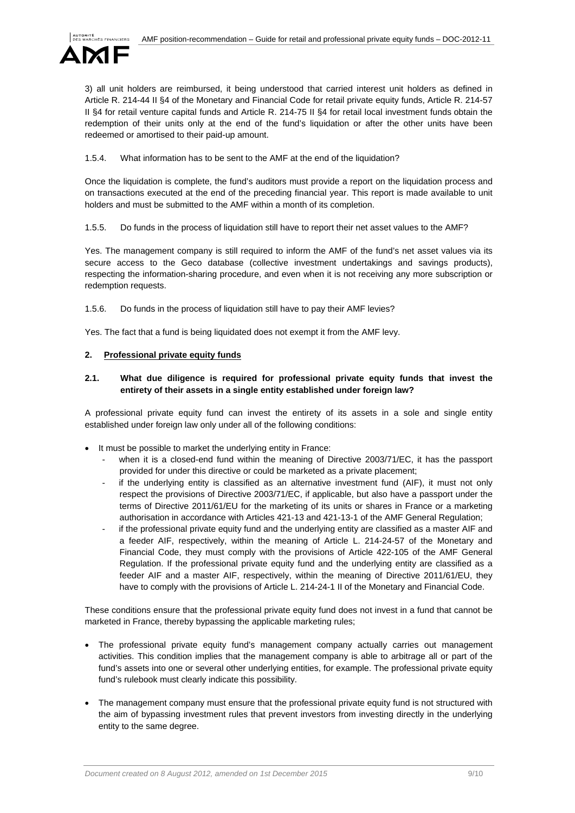

3) all unit holders are reimbursed, it being understood that carried interest unit holders as defined in Article R. 214-44 II §4 of the Monetary and Financial Code for retail private equity funds, Article R. 214-57 II §4 for retail venture capital funds and Article R. 214-75 II §4 for retail local investment funds obtain the redemption of their units only at the end of the fund's liquidation or after the other units have been redeemed or amortised to their paid-up amount.

1.5.4. What information has to be sent to the AMF at the end of the liquidation?

Once the liquidation is complete, the fund's auditors must provide a report on the liquidation process and on transactions executed at the end of the preceding financial year. This report is made available to unit holders and must be submitted to the AMF within a month of its completion.

1.5.5. Do funds in the process of liquidation still have to report their net asset values to the AMF?

Yes. The management company is still required to inform the AMF of the fund's net asset values via its secure access to the Geco database (collective investment undertakings and savings products), respecting the information-sharing procedure, and even when it is not receiving any more subscription or redemption requests.

1.5.6. Do funds in the process of liquidation still have to pay their AMF levies?

Yes. The fact that a fund is being liquidated does not exempt it from the AMF levy.

## **2. Professional private equity funds**

# **2.1. What due diligence is required for professional private equity funds that invest the entirety of their assets in a single entity established under foreign law?**

A professional private equity fund can invest the entirety of its assets in a sole and single entity established under foreign law only under all of the following conditions:

- It must be possible to market the underlying entity in France:
	- when it is a closed-end fund within the meaning of Directive 2003/71/EC, it has the passport provided for under this directive or could be marketed as a private placement;
	- if the underlying entity is classified as an alternative investment fund (AIF), it must not only respect the provisions of Directive 2003/71/EC, if applicable, but also have a passport under the terms of Directive 2011/61/EU for the marketing of its units or shares in France or a marketing authorisation in accordance with Articles 421-13 and 421-13-1 of the AMF General Regulation;
	- if the professional private equity fund and the underlying entity are classified as a master AIF and a feeder AIF, respectively, within the meaning of Article L. 214-24-57 of the Monetary and Financial Code, they must comply with the provisions of Article 422-105 of the AMF General Regulation. If the professional private equity fund and the underlying entity are classified as a feeder AIF and a master AIF, respectively, within the meaning of Directive 2011/61/EU, they have to comply with the provisions of Article L. 214-24-1 II of the Monetary and Financial Code.

These conditions ensure that the professional private equity fund does not invest in a fund that cannot be marketed in France, thereby bypassing the applicable marketing rules;

- The professional private equity fund's management company actually carries out management activities. This condition implies that the management company is able to arbitrage all or part of the fund's assets into one or several other underlying entities, for example. The professional private equity fund's rulebook must clearly indicate this possibility.
- The management company must ensure that the professional private equity fund is not structured with the aim of bypassing investment rules that prevent investors from investing directly in the underlying entity to the same degree.